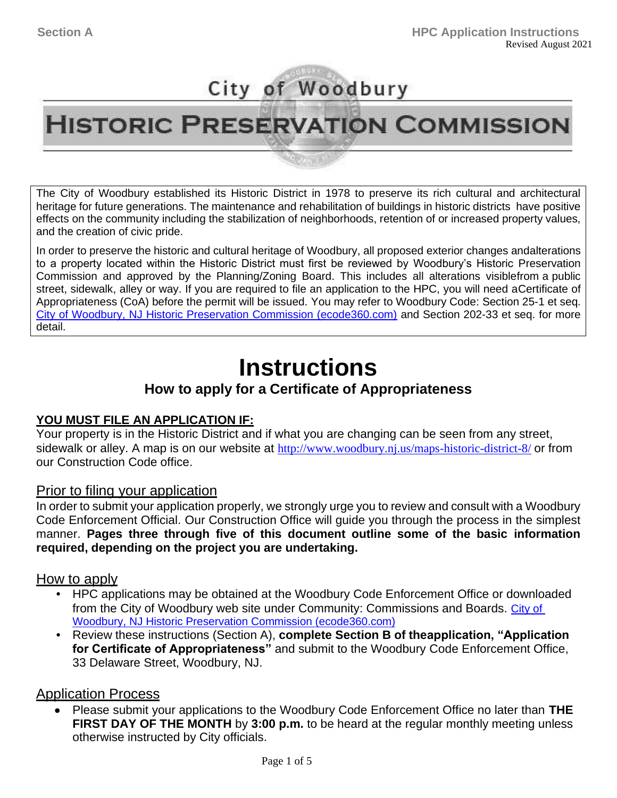## City of Woodbury<br>HISTORIC PRESERVATION COMMISSION **HISTORIC PRESERVATION COMMISSION**

The City of Woodbury established its Historic District in 1978 to preserve its rich cultural and architectural heritage for future generations. The maintenance and rehabilitation of buildings in historic districts have positive effects on the community including the stabilization of neighborhoods, retention of or increased property values, and the creation of civic pride.

In order to preserve the historic and cultural heritage of Woodbury, all proposed exterior changes andalterations to a property located within the Historic District must first be reviewed by Woodbury's Historic Preservation Commission and approved by the Planning/Zoning Board. This includes all alterations visiblefrom a public street, sidewalk, alley or way. If you are required to file an application to the HPC, you will need aCertificate of Appropriateness (CoA) before the permit will be issued. You may refer to Woodbury Code: Section 25-1 et seq. [City of Woodbury, NJ Historic Preservation Commission \(ecode360.com\)](https://ecode360.com/11412495) and Section 202-33 et seq. for more detail.

## **Instructions**

### **How to apply for a Certificate of Appropriateness**

#### **YOU MUST FILE AN APPLICATION IF:**

Your property is in the Historic District and if what you are changing can be seen from any street, sidewalk or alley. A map is on our website at <http://www.woodbury.nj.us/maps-historic-district-8/> or from our Construction Code office.

#### Prior to filing your application

In order to submit your application properly, we strongly urge you to review and consult with a Woodbury Code Enforcement Official. Our Construction Office will guide you through the process in the simplest manner. **Pages three through five of this document outline some of the basic information required, depending on the project you are undertaking.**

#### How to apply

- HPC applications may be obtained at the Woodbury Code Enforcement Office or downloaded from the City of Woodbury web site under Community: Commissions and Boards. [City of](https://ecode360.com/11412495) [Woodbury, NJ Historic Preservation Commission \(ecode360.com\)](https://ecode360.com/11412495)
- Review these instructions (Section A), **complete Section B of theapplication, "Application for Certificate of Appropriateness"** and submit to the Woodbury Code Enforcement Office, 33 Delaware Street, Woodbury, NJ.

#### **Application Process**

 Please submit your applications to the Woodbury Code Enforcement Office no later than **THE FIRST DAY OF THE MONTH** by **3:00 p.m.** to be heard at the regular monthly meeting unless otherwise instructed by City officials. •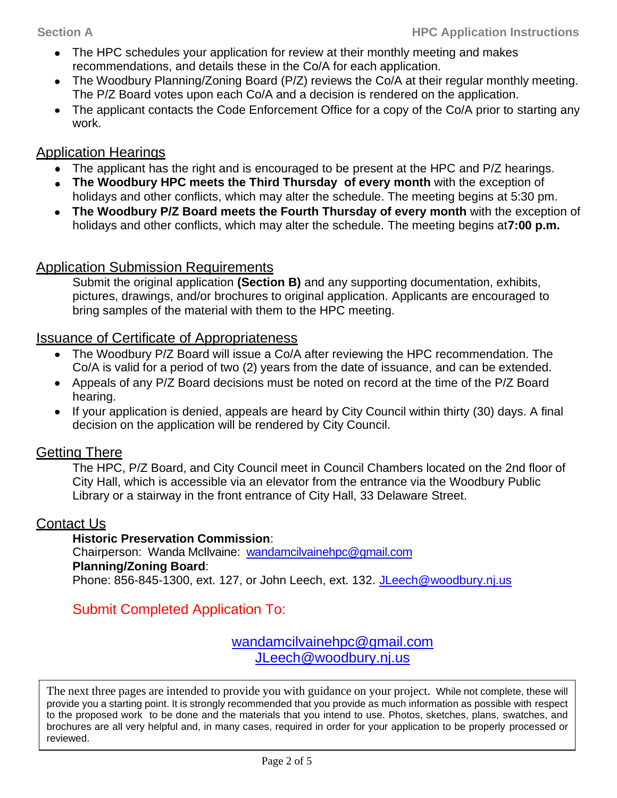- The HPC schedules your application for review at their monthly meeting and makes recommendations, and details these in the Co/A for each application.
- The Woodbury Planning/Zoning Board (P/Z) reviews the Co/A at their regular monthly meeting. The P/Z Board votes upon each Co/A and a decision is rendered on the application.
- The applicant contacts the Code Enforcement Office for a copy of the Co/A prior to starting any work. •

#### Application Hearings

- The applicant has the right and is encouraged to be present at the HPC and P/Z hearings. •
- The Woodbury HPC meets the Third Thursday of every month with the exception of holidays and other conflicts, which may alter the schedule. The meeting begins at 5:30 pm.
- The Woodbury P/Z Board meets the Fourth Thursday of every month with the exception of holidays and other conflicts, which may alter the schedule. The meeting begins at**7:00 p.m.**

#### Application Submission Requirements

Submit the original application **(Section B)** and any supporting documentation, exhibits, pictures, drawings, and/or brochures to original application. Applicants are encouraged to bring samples of the material with them to the HPC meeting.

#### Issuance of Certificate of Appropriateness

- The Woodbury P/Z Board will issue a Co/A after reviewing the HPC recommendation. The Co/A is valid for a period of two (2) years from the date of issuance, and can be extended. •
- Appeals of any P/Z Board decisions must be noted on record at the time of the P/Z Board hearing.
- If your application is denied, appeals are heard by City Council within thirty (30) days. A final decision on the application will be rendered by City Council.

### Getting There

The HPC, P/Z Board, and City Council meet in Council Chambers located on the 2nd floor of City Hall, which is accessible via an elevator from the entrance via the Woodbury Public Library or a stairway in the front entrance of City Hall, 33 Delaware Street.

#### Contact Us

#### **Historic Preservation Commission**:

Chairperson: Wanda McIlvaine: [wandamcilvainehpc@gmail.com](mailto:wandamcilvainehpc@gmail.com) **Planning/Zoning Board**: Phone: 856-845-1300, ext. 127, or John Leech, ext. 132. [JLeech@woodbury.nj.us](mailto:JLeech@woodbury.nj.us)

Submit Completed Application To:

[wandamcilvainehpc@gmail.com](mailto:wandamcilvainehpc@gmail.com) [JLeech@woodbury.nj.us](mailto:JLeech@woodbury.nj.us)

The next three pages are intended to provide you with guidance on your project. While not complete, these will provide you a starting point. It is strongly recommended that you provide as much information as possible with respect to the proposed work to be done and the materials that you intend to use. Photos, sketches, plans, swatches, and brochures are all very helpful and, in many cases, required in order for your application to be properly processed or reviewed.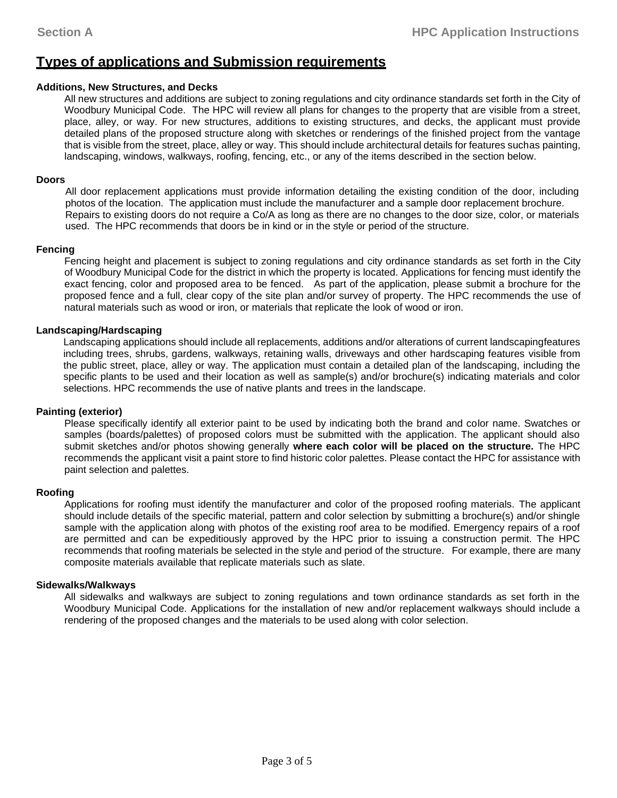#### **Types of applications and Submission requirements**

#### **Additions, New Structures, and Decks**

All new structures and additions are subject to zoning regulations and city ordinance standards set forth in the City of Woodbury Municipal Code. The HPC will review all plans for changes to the property that are visible from a street, place, alley, or way. For new structures, additions to existing structures, and decks, the applicant must provide detailed plans of the proposed structure along with sketches or renderings of the finished project from the vantage that is visible from the street, place, alley or way. This should include architectural details for features suchas painting, landscaping, windows, walkways, roofing, fencing, etc., or any of the items described in the section below.

#### **Doors**

All door replacement applications must provide information detailing the existing condition of the door, including photos of the location. The application must include the manufacturer and a sample door replacement brochure. Repairs to existing doors do not require a Co/A as long as there are no changes to the door size, color, or materials used. The HPC recommends that doors be in kind or in the style or period of the structure.

#### **Fencing**

Fencing height and placement is subject to zoning regulations and city ordinance standards as set forth in the City of Woodbury Municipal Code for the district in which the property is located. Applications for fencing must identify the exact fencing, color and proposed area to be fenced. As part of the application, please submit a brochure for the proposed fence and a full, clear copy of the site plan and/or survey of property. The HPC recommends the use of natural materials such as wood or iron, or materials that replicate the look of wood or iron.

#### **Landscaping/Hardscaping**

Landscaping applications should include all replacements, additions and/or alterations of current landscapingfeatures including trees, shrubs, gardens, walkways, retaining walls, driveways and other hardscaping features visible from the public street, place, alley or way. The application must contain a detailed plan of the landscaping, including the specific plants to be used and their location as well as sample(s) and/or brochure(s) indicating materials and color selections. HPC recommends the use of native plants and trees in the landscape.

#### **Painting (exterior)**

Please specifically identify all exterior paint to be used by indicating both the brand and color name. Swatches or samples (boards/palettes) of proposed colors must be submitted with the application. The applicant should also submit sketches and/or photos showing generally **where each color will be placed on the structure.** The HPC recommends the applicant visit a paint store to find historic color palettes. Please contact the HPC for assistance with paint selection and palettes.

#### **Roofing**

Applications for roofing must identify the manufacturer and color of the proposed roofing materials. The applicant should include details of the specific material, pattern and color selection by submitting a brochure(s) and/or shingle sample with the application along with photos of the existing roof area to be modified. Emergency repairs of a roof are permitted and can be expeditiously approved by the HPC prior to issuing a construction permit. The HPC recommends that roofing materials be selected in the style and period of the structure. For example, there are many composite materials available that replicate materials such as slate.

#### **Sidewalks/Walkways**

All sidewalks and walkways are subject to zoning regulations and town ordinance standards as set forth in the Woodbury Municipal Code. Applications for the installation of new and/or replacement walkways should include a rendering of the proposed changes and the materials to be used along with color selection.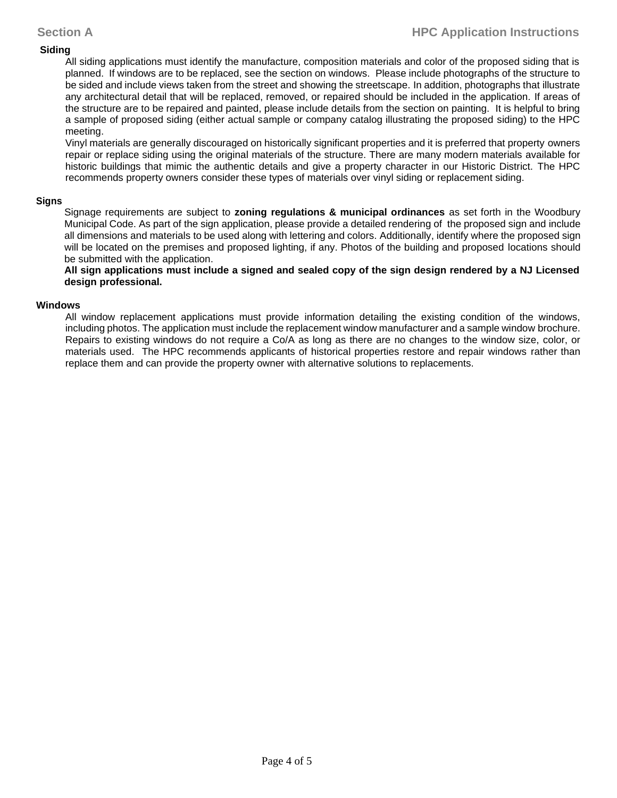#### **Siding**

All siding applications must identify the manufacture, composition materials and color of the proposed siding that is planned. If windows are to be replaced, see the section on windows. Please include photographs of the structure to be sided and include views taken from the street and showing the streetscape. In addition, photographs that illustrate any architectural detail that will be replaced, removed, or repaired should be included in the application. If areas of the structure are to be repaired and painted, please include details from the section on painting. It is helpful to bring a sample of proposed siding (either actual sample or company catalog illustrating the proposed siding) to the HPC meeting.

Vinyl materials are generally discouraged on historically significant properties and it is preferred that property owners repair or replace siding using the original materials of the structure. There are many modern materials available for historic buildings that mimic the authentic details and give a property character in our Historic District. The HPC recommends property owners consider these types of materials over vinyl siding or replacement siding.

#### **Signs**

Signage requirements are subject to **zoning regulations & municipal ordinances** as set forth in the Woodbury Municipal Code. As part of the sign application, please provide a detailed rendering of the proposed sign and include all dimensions and materials to be used along with lettering and colors. Additionally, identify where the proposed sign will be located on the premises and proposed lighting, if any. Photos of the building and proposed locations should be submitted with the application.

**All sign applications must include a signed and sealed copy of the sign design rendered by a NJ Licensed design professional.**

#### **Windows**

All window replacement applications must provide information detailing the existing condition of the windows, including photos. The application must include the replacement window manufacturer and a sample window brochure. Repairs to existing windows do not require a Co/A as long as there are no changes to the window size, color, or materials used. The HPC recommends applicants of historical properties restore and repair windows rather than replace them and can provide the property owner with alternative solutions to replacements.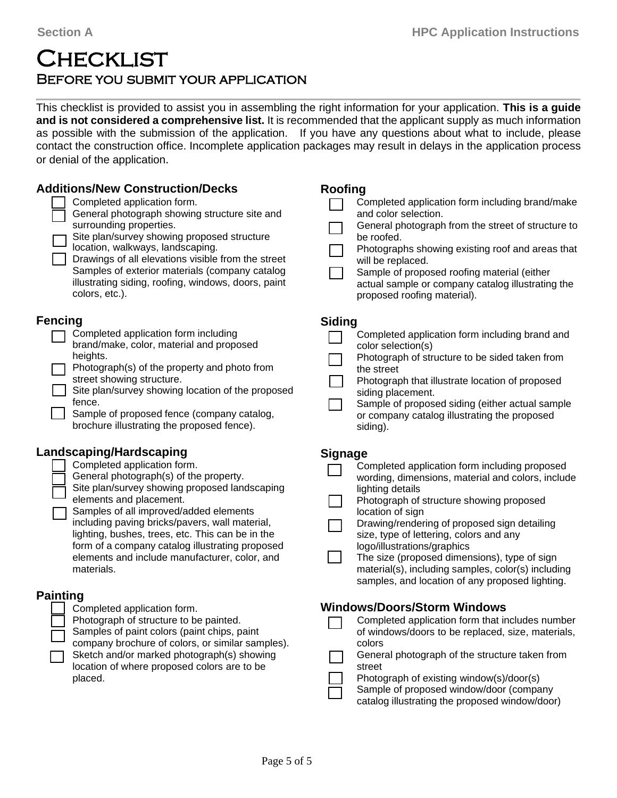## **CHECKLIST** Before you submit your application

This checklist is provided to assist you in assembling the right information for your application. **This is a guide and is not considered a comprehensive list.** It is recommended that the applicant supply as much information as possible with the submission of the application. If you have any questions about what to include, please contact the construction office. Incomplete application packages may result in delays in the application process or denial of the application.

| <b>Additions/New Construction/Decks</b>                                                                                                                                                                                                                                                                                                                                                                                                        | <b>Roofing</b>                                                                                                                                                                                                                                                                                                                                                                                                                                                                              |
|------------------------------------------------------------------------------------------------------------------------------------------------------------------------------------------------------------------------------------------------------------------------------------------------------------------------------------------------------------------------------------------------------------------------------------------------|---------------------------------------------------------------------------------------------------------------------------------------------------------------------------------------------------------------------------------------------------------------------------------------------------------------------------------------------------------------------------------------------------------------------------------------------------------------------------------------------|
| Completed application form.                                                                                                                                                                                                                                                                                                                                                                                                                    | Completed application form including brand/make                                                                                                                                                                                                                                                                                                                                                                                                                                             |
| General photograph showing structure site and                                                                                                                                                                                                                                                                                                                                                                                                  | and color selection.                                                                                                                                                                                                                                                                                                                                                                                                                                                                        |
| surrounding properties.                                                                                                                                                                                                                                                                                                                                                                                                                        | General photograph from the street of structure to                                                                                                                                                                                                                                                                                                                                                                                                                                          |
| Site plan/survey showing proposed structure                                                                                                                                                                                                                                                                                                                                                                                                    | be roofed.                                                                                                                                                                                                                                                                                                                                                                                                                                                                                  |
| location, walkways, landscaping.                                                                                                                                                                                                                                                                                                                                                                                                               | Photographs showing existing roof and areas that                                                                                                                                                                                                                                                                                                                                                                                                                                            |
| Drawings of all elevations visible from the street                                                                                                                                                                                                                                                                                                                                                                                             | will be replaced.                                                                                                                                                                                                                                                                                                                                                                                                                                                                           |
| Samples of exterior materials (company catalog                                                                                                                                                                                                                                                                                                                                                                                                 | Sample of proposed roofing material (either                                                                                                                                                                                                                                                                                                                                                                                                                                                 |
| illustrating siding, roofing, windows, doors, paint                                                                                                                                                                                                                                                                                                                                                                                            | actual sample or company catalog illustrating the                                                                                                                                                                                                                                                                                                                                                                                                                                           |
| colors, etc.).                                                                                                                                                                                                                                                                                                                                                                                                                                 | proposed roofing material).                                                                                                                                                                                                                                                                                                                                                                                                                                                                 |
| <b>Fencing</b>                                                                                                                                                                                                                                                                                                                                                                                                                                 | <b>Siding</b>                                                                                                                                                                                                                                                                                                                                                                                                                                                                               |
| Completed application form including                                                                                                                                                                                                                                                                                                                                                                                                           | Completed application form including brand and                                                                                                                                                                                                                                                                                                                                                                                                                                              |
| brand/make, color, material and proposed                                                                                                                                                                                                                                                                                                                                                                                                       | color selection(s)                                                                                                                                                                                                                                                                                                                                                                                                                                                                          |
| heights.                                                                                                                                                                                                                                                                                                                                                                                                                                       | Photograph of structure to be sided taken from                                                                                                                                                                                                                                                                                                                                                                                                                                              |
| Photograph(s) of the property and photo from                                                                                                                                                                                                                                                                                                                                                                                                   | the street                                                                                                                                                                                                                                                                                                                                                                                                                                                                                  |
| street showing structure.                                                                                                                                                                                                                                                                                                                                                                                                                      | Photograph that illustrate location of proposed                                                                                                                                                                                                                                                                                                                                                                                                                                             |
| Site plan/survey showing location of the proposed                                                                                                                                                                                                                                                                                                                                                                                              | siding placement.                                                                                                                                                                                                                                                                                                                                                                                                                                                                           |
| fence.                                                                                                                                                                                                                                                                                                                                                                                                                                         | Sample of proposed siding (either actual sample                                                                                                                                                                                                                                                                                                                                                                                                                                             |
| Sample of proposed fence (company catalog,                                                                                                                                                                                                                                                                                                                                                                                                     | or company catalog illustrating the proposed                                                                                                                                                                                                                                                                                                                                                                                                                                                |
| brochure illustrating the proposed fence).                                                                                                                                                                                                                                                                                                                                                                                                     | siding).                                                                                                                                                                                                                                                                                                                                                                                                                                                                                    |
| Landscaping/Hardscaping<br>Completed application form.<br>General photograph(s) of the property.<br>Site plan/survey showing proposed landscaping<br>elements and placement.<br>Samples of all improved/added elements<br>including paving bricks/pavers, wall material,<br>lighting, bushes, trees, etc. This can be in the<br>form of a company catalog illustrating proposed<br>elements and include manufacturer, color, and<br>materials. | <b>Signage</b><br>Completed application form including proposed<br>wording, dimensions, material and colors, include<br>lighting details<br>Photograph of structure showing proposed<br>location of sign<br>Drawing/rendering of proposed sign detailing<br>size, type of lettering, colors and any<br>logo/illustrations/graphics<br>The size (proposed dimensions), type of sign<br>material(s), including samples, color(s) including<br>samples, and location of any proposed lighting. |
| <b>Painting</b><br>Completed application form.<br>Photograph of structure to be painted.<br>Samples of paint colors (paint chips, paint<br>company brochure of colors, or similar samples).<br>Sketch and/or marked photograph(s) showing<br>location of where proposed colors are to be<br>placed.                                                                                                                                            | <b>Windows/Doors/Storm Windows</b><br>Completed application form that includes number<br>of windows/doors to be replaced, size, materials,<br>colors<br>General photograph of the structure taken from<br>street<br>Photograph of existing window(s)/door(s)<br>Sample of proposed window/door (company<br>catalog illustrating the proposed window/door)                                                                                                                                   |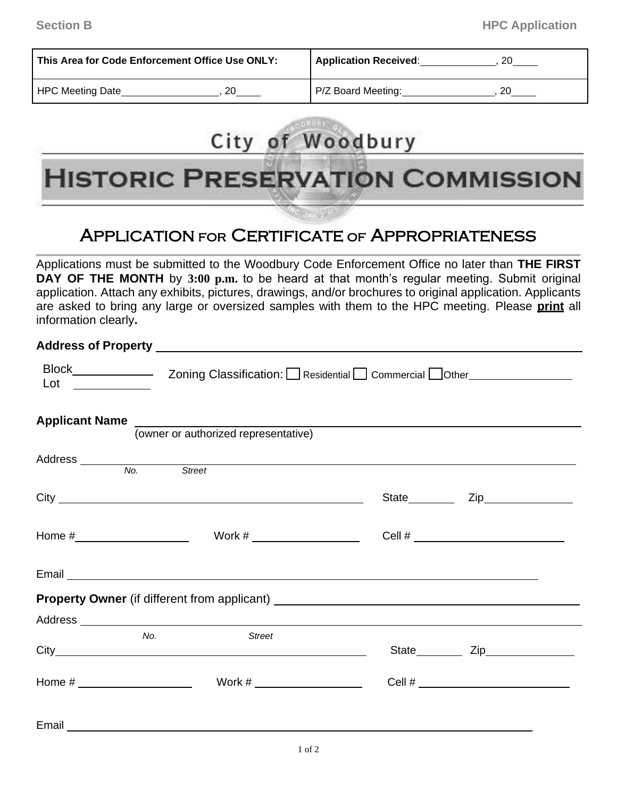| This Area for Code Enforcement Office Use ONLY: | <b>Application Received:</b> |  |
|-------------------------------------------------|------------------------------|--|
| <b>HPC Meeting Date</b>                         | P/Z Board Meeting:           |  |

# City of Woodbury<br>HISTORIC PRESERVATION COMMISSION **HISTORIC PRESERVATION COMMISSION**

### Application for Certificate of Appropriateness

Applications must be submitted to the Woodbury Code Enforcement Office no later than **THE FIRST DAY OF THE MONTH** by **3:00 p.m.** to be heard at that month's regular meeting. Submit original application. Attach any exhibits, pictures, drawings, and/or brochures to original application. Applicants are asked to bring any large or oversized samples with them to the HPC meeting. Please **print** all information clearly**.**

#### **Address of Property**

|     | Applicant Name<br>(owner or authorized representative)                                                                      |                      |  |
|-----|-----------------------------------------------------------------------------------------------------------------------------|----------------------|--|
|     | Address No. Street                                                                                                          |                      |  |
|     |                                                                                                                             | State <b>Zip Zip</b> |  |
|     |                                                                                                                             |                      |  |
|     | Email <u>Executive Communication</u> Construction and Communication Communication Communication Communication Communication |                      |  |
|     |                                                                                                                             |                      |  |
|     |                                                                                                                             |                      |  |
| No. | <b>Street</b>                                                                                                               |                      |  |
|     |                                                                                                                             |                      |  |
|     |                                                                                                                             |                      |  |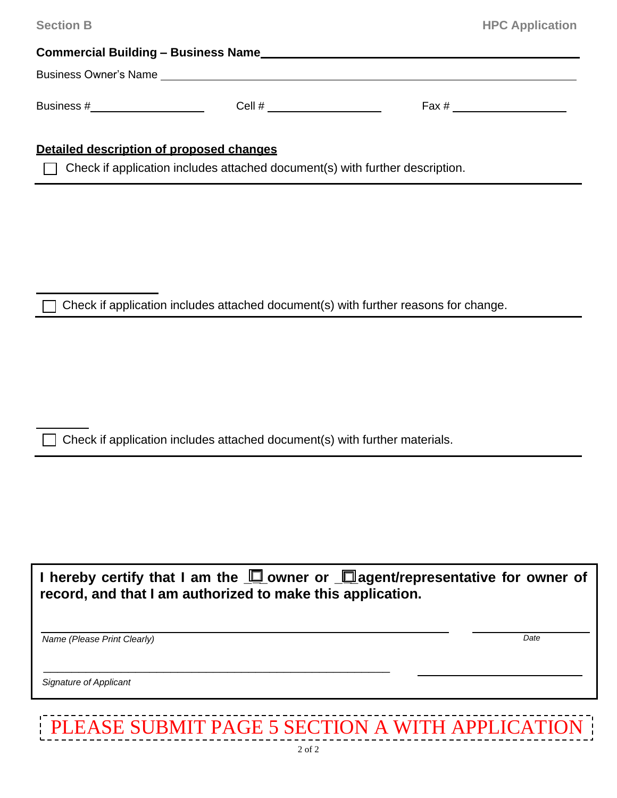|                                          | <b>HPC Application</b>                                                                                                                                                                                                                                                                                                                                                                                                                                                                                                     |
|------------------------------------------|----------------------------------------------------------------------------------------------------------------------------------------------------------------------------------------------------------------------------------------------------------------------------------------------------------------------------------------------------------------------------------------------------------------------------------------------------------------------------------------------------------------------------|
|                                          |                                                                                                                                                                                                                                                                                                                                                                                                                                                                                                                            |
|                                          |                                                                                                                                                                                                                                                                                                                                                                                                                                                                                                                            |
| Business #______________________         |                                                                                                                                                                                                                                                                                                                                                                                                                                                                                                                            |
|                                          |                                                                                                                                                                                                                                                                                                                                                                                                                                                                                                                            |
| Detailed description of proposed changes |                                                                                                                                                                                                                                                                                                                                                                                                                                                                                                                            |
|                                          |                                                                                                                                                                                                                                                                                                                                                                                                                                                                                                                            |
|                                          |                                                                                                                                                                                                                                                                                                                                                                                                                                                                                                                            |
|                                          |                                                                                                                                                                                                                                                                                                                                                                                                                                                                                                                            |
|                                          |                                                                                                                                                                                                                                                                                                                                                                                                                                                                                                                            |
|                                          |                                                                                                                                                                                                                                                                                                                                                                                                                                                                                                                            |
|                                          |                                                                                                                                                                                                                                                                                                                                                                                                                                                                                                                            |
|                                          |                                                                                                                                                                                                                                                                                                                                                                                                                                                                                                                            |
|                                          |                                                                                                                                                                                                                                                                                                                                                                                                                                                                                                                            |
|                                          |                                                                                                                                                                                                                                                                                                                                                                                                                                                                                                                            |
|                                          |                                                                                                                                                                                                                                                                                                                                                                                                                                                                                                                            |
|                                          |                                                                                                                                                                                                                                                                                                                                                                                                                                                                                                                            |
|                                          |                                                                                                                                                                                                                                                                                                                                                                                                                                                                                                                            |
|                                          |                                                                                                                                                                                                                                                                                                                                                                                                                                                                                                                            |
|                                          |                                                                                                                                                                                                                                                                                                                                                                                                                                                                                                                            |
|                                          | Business Owner's Name <b>contract the contract of the contract of the contract of the contract of the contract of the contract of the contract of the contract of the contract of the contract of the contract of the contract o</b><br>Cell # ______________________<br>Check if application includes attached document(s) with further description.<br>Check if application includes attached document(s) with further reasons for change.<br>Check if application includes attached document(s) with further materials. |

| I hereby certify that I am the $\Box$ owner or $\Box$ agent/representative for owner of |  |  |
|-----------------------------------------------------------------------------------------|--|--|
| record, and that I am authorized to make this application.                              |  |  |

*Name (Please Print Clearly)* 

*Date*

*Signature of Applicant*  I I I --------------------------------------------------1

| PLEASE SUBMIT PAGE 5 SECTION A WITH APPLICATION |
|-------------------------------------------------|
|                                                 |

\_\_\_\_\_\_\_\_\_\_\_\_\_\_\_\_\_\_\_\_\_\_\_\_\_\_\_\_\_\_\_\_\_\_\_\_\_\_\_\_\_\_\_\_\_\_\_\_\_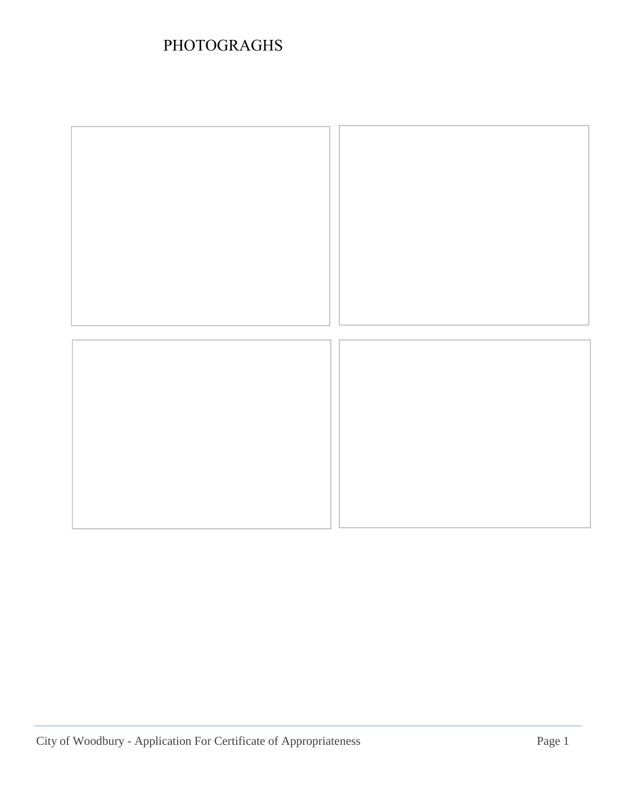## PHOTOGRAGHS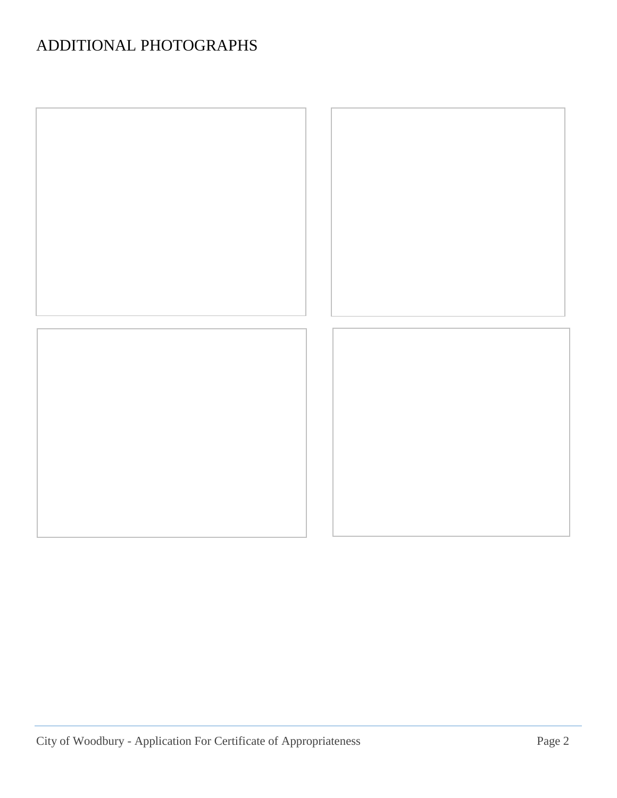## ADDITIONAL PHOTOGRAPHS